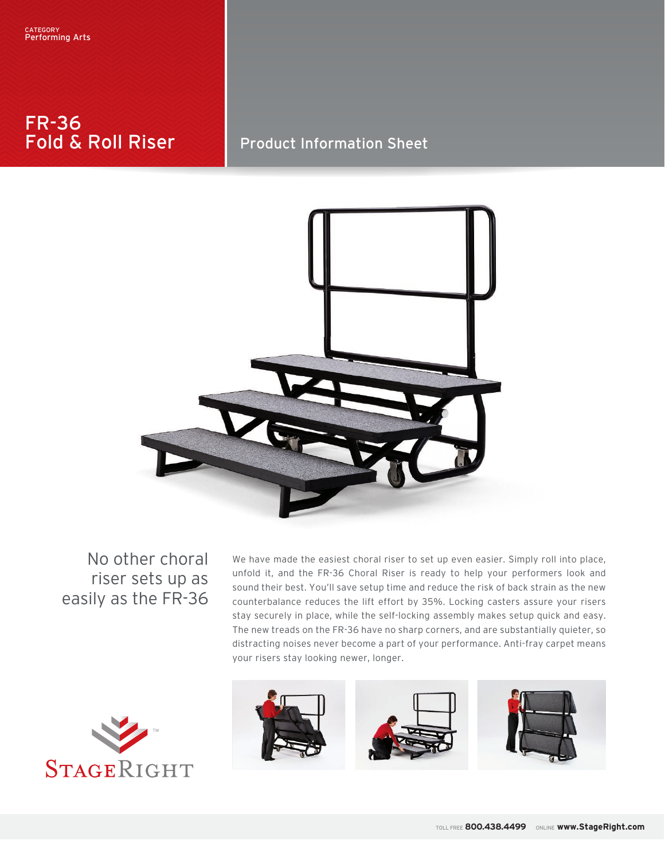# FR-36 Fold & Roll Riser

# Product Information Sheet



No other choral riser sets up as easily as the FR-36

We have made the easiest choral riser to set up even easier. Simply roll into place, unfold it, and the FR-36 Choral Riser is ready to help your performers look and sound their best. You'll save setup time and reduce the risk of back strain as the new counterbalance reduces the lift effort by 35%. Locking casters assure your risers stay securely in place, while the self-locking assembly makes setup quick and easy. The new treads on the FR-36 have no sharp corners, and are substantially quieter, so distracting noises never become a part of your performance. Anti-fray carpet means your risers stay looking newer, longer.